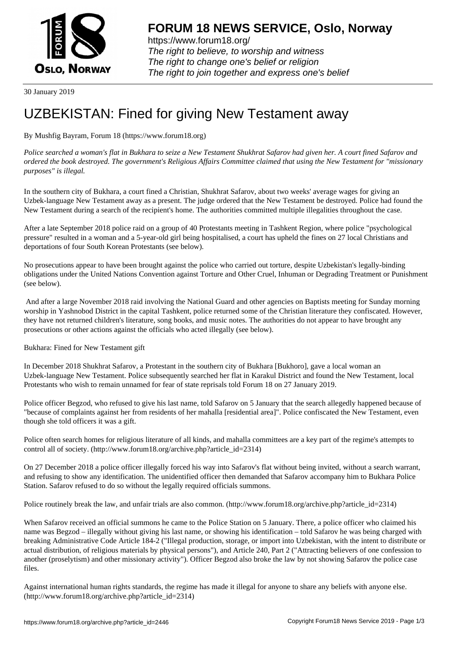

https://www.forum18.org/ The right to believe, to worship and witness The right to change one's belief or religion [The right to join together a](https://www.forum18.org/)nd express one's belief

30 January 2019

## [UZBEKISTAN:](https://www.forum18.org) Fined for giving New Testament away

## By Mushfig Bayram, Forum 18 (https://www.forum18.org)

*Police searched a woman's flat in Bukhara to seize a New Testament Shukhrat Safarov had given her. A court fined Safarov and ordered the book destroyed. The government's Religious Affairs Committee claimed that using the New Testament for "missionary purposes" is illegal.*

In the southern city of Bukhara, a court fined a Christian, Shukhrat Safarov, about two weeks' average wages for giving an Uzbek-language New Testament away as a present. The judge ordered that the New Testament be destroyed. Police had found the New Testament during a search of the recipient's home. The authorities committed multiple illegalities throughout the case.

After a late September 2018 police raid on a group of 40 Protestants meeting in Tashkent Region, where police "psychological pressure" resulted in a woman and a 5-year-old girl being hospitalised, a court has upheld the fines on 27 local Christians and deportations of four South Korean Protestants (see below).

No prosecutions appear to have been brought against the police who carried out torture, despite Uzbekistan's legally-binding obligations under the United Nations Convention against Torture and Other Cruel, Inhuman or Degrading Treatment or Punishment (see below).

 And after a large November 2018 raid involving the National Guard and other agencies on Baptists meeting for Sunday morning worship in Yashnobod District in the capital Tashkent, police returned some of the Christian literature they confiscated. However, they have not returned children's literature, song books, and music notes. The authorities do not appear to have brought any prosecutions or other actions against the officials who acted illegally (see below).

Bukhara: Fined for New Testament gift

In December 2018 Shukhrat Safarov, a Protestant in the southern city of Bukhara [Bukhoro], gave a local woman an Uzbek-language New Testament. Police subsequently searched her flat in Karakul District and found the New Testament, local Protestants who wish to remain unnamed for fear of state reprisals told Forum 18 on 27 January 2019.

Police officer Begzod, who refused to give his last name, told Safarov on 5 January that the search allegedly happened because of "because of complaints against her from residents of her mahalla [residential area]". Police confiscated the New Testament, even though she told officers it was a gift.

Police often search homes for religious literature of all kinds, and mahalla committees are a key part of the regime's attempts to control all of society. (http://www.forum18.org/archive.php?article\_id=2314)

On 27 December 2018 a police officer illegally forced his way into Safarov's flat without being invited, without a search warrant, and refusing to show any identification. The unidentified officer then demanded that Safarov accompany him to Bukhara Police Station. Safarov refused to do so without the legally required officials summons.

Police routinely break the law, and unfair trials are also common. (http://www.forum18.org/archive.php?article\_id=2314)

When Safarov received an official summons he came to the Police Station on 5 January. There, a police officer who claimed his name was Begzod – illegally without giving his last name, or showing his identification – told Safarov he was being charged with breaking Administrative Code Article 184-2 ("Illegal production, storage, or import into Uzbekistan, with the intent to distribute or actual distribution, of religious materials by physical persons"), and Article 240, Part 2 ("Attracting believers of one confession to another (proselytism) and other missionary activity"). Officer Begzod also broke the law by not showing Safarov the police case files.

Against international human rights standards, the regime has made it illegal for anyone to share any beliefs with anyone else. (http://www.forum18.org/archive.php?article\_id=2314)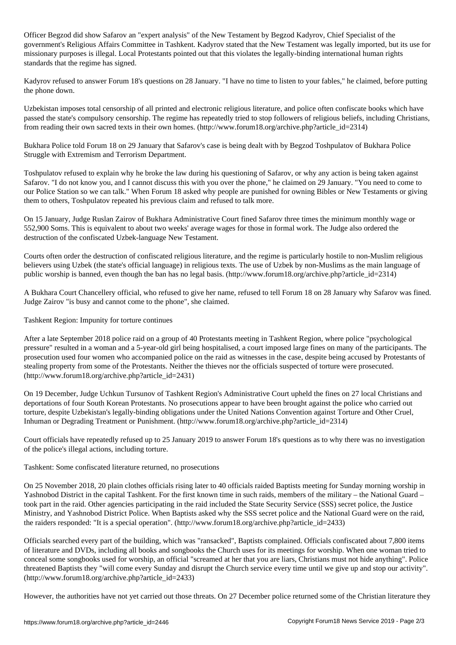Officer Begzod did show Safarov an "expert analysis" of the New Testament by Begzod Kadyrov, Chief Specialist of the government's Religious Affairs Committee in Tashkent. Kadyrov stated that the New Testament was legally imported, but its use for missionary purposes is illegal. Local Protestants pointed out that this violates the legally-binding international human rights standards that the regime has signed.

Kadyrov refused to answer Forum 18's questions on 28 January. "I have no time to listen to your fables," he claimed, before putting the phone down.

Uzbekistan imposes total censorship of all printed and electronic religious literature, and police often confiscate books which have passed the state's compulsory censorship. The regime has repeatedly tried to stop followers of religious beliefs, including Christians, from reading their own sacred texts in their own homes. (http://www.forum18.org/archive.php?article\_id=2314)

Bukhara Police told Forum 18 on 29 January that Safarov's case is being dealt with by Begzod Toshpulatov of Bukhara Police Struggle with Extremism and Terrorism Department.

Toshpulatov refused to explain why he broke the law during his questioning of Safarov, or why any action is being taken against Safarov. "I do not know you, and I cannot discuss this with you over the phone," he claimed on 29 January. "You need to come to our Police Station so we can talk." When Forum 18 asked why people are punished for owning Bibles or New Testaments or giving them to others, Toshpulatov repeated his previous claim and refused to talk more.

On 15 January, Judge Ruslan Zairov of Bukhara Administrative Court fined Safarov three times the minimum monthly wage or 552,900 Soms. This is equivalent to about two weeks' average wages for those in formal work. The Judge also ordered the destruction of the confiscated Uzbek-language New Testament.

Courts often order the destruction of confiscated religious literature, and the regime is particularly hostile to non-Muslim religious believers using Uzbek (the state's official language) in religious texts. The use of Uzbek by non-Muslims as the main language of public worship is banned, even though the ban has no legal basis. (http://www.forum18.org/archive.php?article\_id=2314)

A Bukhara Court Chancellery official, who refused to give her name, refused to tell Forum 18 on 28 January why Safarov was fined. Judge Zairov "is busy and cannot come to the phone", she claimed.

Tashkent Region: Impunity for torture continues

After a late September 2018 police raid on a group of 40 Protestants meeting in Tashkent Region, where police "psychological pressure" resulted in a woman and a 5-year-old girl being hospitalised, a court imposed large fines on many of the participants. The prosecution used four women who accompanied police on the raid as witnesses in the case, despite being accused by Protestants of stealing property from some of the Protestants. Neither the thieves nor the officials suspected of torture were prosecuted. (http://www.forum18.org/archive.php?article\_id=2431)

On 19 December, Judge Uchkun Tursunov of Tashkent Region's Administrative Court upheld the fines on 27 local Christians and deportations of four South Korean Protestants. No prosecutions appear to have been brought against the police who carried out torture, despite Uzbekistan's legally-binding obligations under the United Nations Convention against Torture and Other Cruel, Inhuman or Degrading Treatment or Punishment. (http://www.forum18.org/archive.php?article\_id=2314)

Court officials have repeatedly refused up to 25 January 2019 to answer Forum 18's questions as to why there was no investigation of the police's illegal actions, including torture.

## Tashkent: Some confiscated literature returned, no prosecutions

On 25 November 2018, 20 plain clothes officials rising later to 40 officials raided Baptists meeting for Sunday morning worship in Yashnobod District in the capital Tashkent. For the first known time in such raids, members of the military – the National Guard – took part in the raid. Other agencies participating in the raid included the State Security Service (SSS) secret police, the Justice Ministry, and Yashnobod District Police. When Baptists asked why the SSS secret police and the National Guard were on the raid, the raiders responded: "It is a special operation". (http://www.forum18.org/archive.php?article\_id=2433)

Officials searched every part of the building, which was "ransacked", Baptists complained. Officials confiscated about 7,800 items of literature and DVDs, including all books and songbooks the Church uses for its meetings for worship. When one woman tried to conceal some songbooks used for worship, an official "screamed at her that you are liars, Christians must not hide anything". Police threatened Baptists they "will come every Sunday and disrupt the Church service every time until we give up and stop our activity". (http://www.forum18.org/archive.php?article\_id=2433)

However, the authorities have not yet carried out those threats. On 27 December police returned some of the Christian literature they